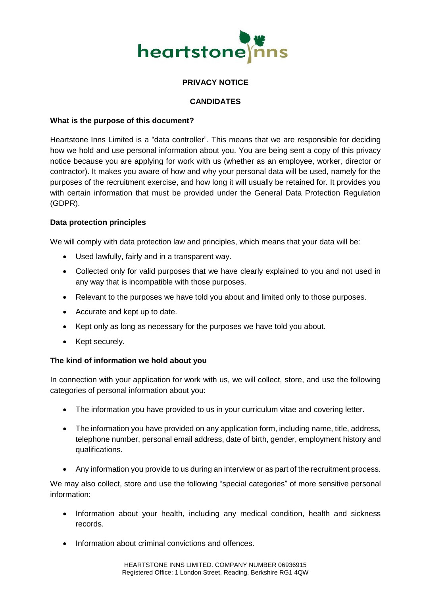

## **PRIVACY NOTICE**

## **CANDIDATES**

### **What is the purpose of this document?**

Heartstone Inns Limited is a "data controller". This means that we are responsible for deciding how we hold and use personal information about you. You are being sent a copy of this privacy notice because you are applying for work with us (whether as an employee, worker, director or contractor). It makes you aware of how and why your personal data will be used, namely for the purposes of the recruitment exercise, and how long it will usually be retained for. It provides you with certain information that must be provided under the General Data Protection Regulation (GDPR).

### **Data protection principles**

We will comply with data protection law and principles, which means that your data will be:

- Used lawfully, fairly and in a transparent way.
- Collected only for valid purposes that we have clearly explained to you and not used in any way that is incompatible with those purposes.
- Relevant to the purposes we have told you about and limited only to those purposes.
- Accurate and kept up to date.
- Kept only as long as necessary for the purposes we have told you about.
- Kept securely.

### **The kind of information we hold about you**

In connection with your application for work with us, we will collect, store, and use the following categories of personal information about you:

- The information you have provided to us in your curriculum vitae and covering letter.
- The information you have provided on any application form, including name, title, address, telephone number, personal email address, date of birth, gender, employment history and qualifications.
- Any information you provide to us during an interview or as part of the recruitment process.

We may also collect, store and use the following "special categories" of more sensitive personal information:

- Information about your health, including any medical condition, health and sickness records.
- Information about criminal convictions and offences.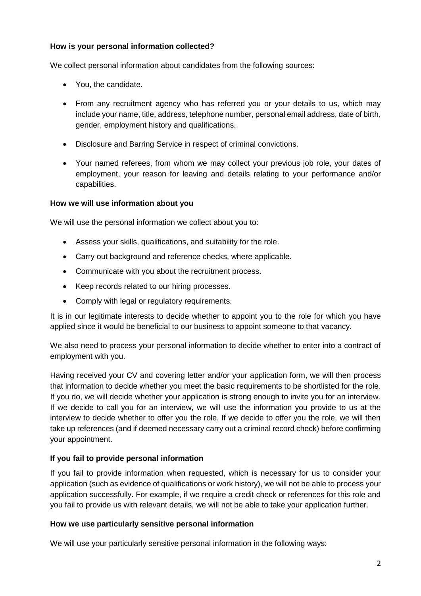# **How is your personal information collected?**

We collect personal information about candidates from the following sources:

- You, the candidate.
- From any recruitment agency who has referred you or your details to us, which may include your name, title, address, telephone number, personal email address, date of birth, gender, employment history and qualifications.
- Disclosure and Barring Service in respect of criminal convictions.
- Your named referees, from whom we may collect your previous job role, your dates of employment, your reason for leaving and details relating to your performance and/or capabilities.

## **How we will use information about you**

We will use the personal information we collect about you to:

- Assess your skills, qualifications, and suitability for the role.
- Carry out background and reference checks, where applicable.
- Communicate with you about the recruitment process.
- Keep records related to our hiring processes.
- Comply with legal or regulatory requirements.

It is in our legitimate interests to decide whether to appoint you to the role for which you have applied since it would be beneficial to our business to appoint someone to that vacancy.

We also need to process your personal information to decide whether to enter into a contract of employment with you.

Having received your CV and covering letter and/or your application form, we will then process that information to decide whether you meet the basic requirements to be shortlisted for the role. If you do, we will decide whether your application is strong enough to invite you for an interview. If we decide to call you for an interview, we will use the information you provide to us at the interview to decide whether to offer you the role. If we decide to offer you the role, we will then take up references (and if deemed necessary carry out a criminal record check) before confirming your appointment.

## **If you fail to provide personal information**

If you fail to provide information when requested, which is necessary for us to consider your application (such as evidence of qualifications or work history), we will not be able to process your application successfully. For example, if we require a credit check or references for this role and you fail to provide us with relevant details, we will not be able to take your application further.

### **How we use particularly sensitive personal information**

We will use your particularly sensitive personal information in the following ways: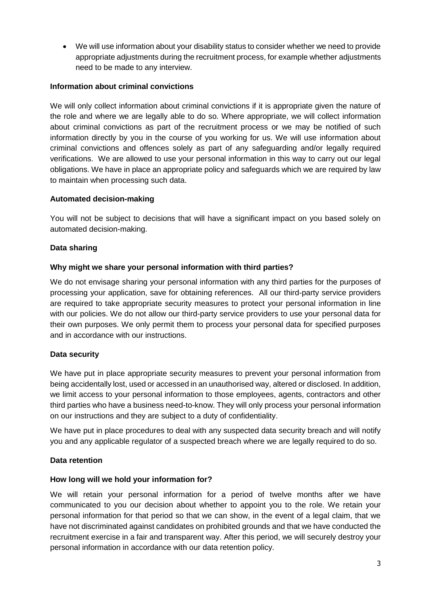We will use information about your disability status to consider whether we need to provide appropriate adjustments during the recruitment process, for example whether adjustments need to be made to any interview.

## **Information about criminal convictions**

We will only collect information about criminal convictions if it is appropriate given the nature of the role and where we are legally able to do so. Where appropriate, we will collect information about criminal convictions as part of the recruitment process or we may be notified of such information directly by you in the course of you working for us. We will use information about criminal convictions and offences solely as part of any safeguarding and/or legally required verifications. We are allowed to use your personal information in this way to carry out our legal obligations. We have in place an appropriate policy and safeguards which we are required by law to maintain when processing such data.

## **Automated decision-making**

You will not be subject to decisions that will have a significant impact on you based solely on automated decision-making.

## **Data sharing**

### **Why might we share your personal information with third parties?**

We do not envisage sharing your personal information with any third parties for the purposes of processing your application, save for obtaining references. All our third-party service providers are required to take appropriate security measures to protect your personal information in line with our policies. We do not allow our third-party service providers to use your personal data for their own purposes. We only permit them to process your personal data for specified purposes and in accordance with our instructions.

### **Data security**

We have put in place appropriate security measures to prevent your personal information from being accidentally lost, used or accessed in an unauthorised way, altered or disclosed. In addition, we limit access to your personal information to those employees, agents, contractors and other third parties who have a business need-to-know. They will only process your personal information on our instructions and they are subject to a duty of confidentiality.

We have put in place procedures to deal with any suspected data security breach and will notify you and any applicable regulator of a suspected breach where we are legally required to do so.

### **Data retention**

### **How long will we hold your information for?**

We will retain your personal information for a period of twelve months after we have communicated to you our decision about whether to appoint you to the role. We retain your personal information for that period so that we can show, in the event of a legal claim, that we have not discriminated against candidates on prohibited grounds and that we have conducted the recruitment exercise in a fair and transparent way. After this period, we will securely destroy your personal information in accordance with our data retention policy.